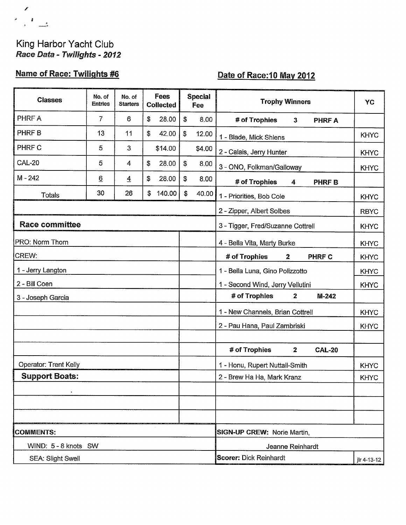## King Harbor Yacht Club Race Data - Twilights - 2012

 $\mathcal{L}_{\mathcal{A}}$  $\begin{array}{c|c|c|c|c} \hline \begin{array}{ccc} \hline \begin{array}{ccc} \hline \begin{array}{ccc} \hline \begin{array}{ccc} \hline \begin{array}{ccc} \hline \hline \begin{array}{ccc} \hline \hline \hline \hline \end{array} & \hline \begin{array}{ccc} \hline \hline \hline \hline \hline \end{array} & \hline \end{array} & \hline \end{array} & \begin{array}{c} \hline \begin{array}{ccc} \hline \hline \hline \hline \hline \end{array} & \hline \end{array} & \begin{array}{ccc} \hline \begin{array}{ccc} \hline \hline \hline \end$ 

# Name of Race: Twilights #6

## Date of Race: 10 May 2012

| <b>Classes</b>        | No. of<br><b>Entries</b> | No. of<br><b>Starters</b> | Fees<br><b>Collected</b> |         |               | <b>Special</b><br>Fee              | <b>Trophy Winners</b>                          | YC          |  |  |
|-----------------------|--------------------------|---------------------------|--------------------------|---------|---------------|------------------------------------|------------------------------------------------|-------------|--|--|
| PHRF A                | 7                        | 6                         | \$                       | 28.00   | \$            | 8.00                               | # of Trophies<br>$\mathbf{3}$<br><b>PHRF A</b> |             |  |  |
| PHRF B                | 13                       | 11                        | \$                       | 42.00   | \$            | 12.00                              | 1 - Blade, Mick Shlens                         | <b>KHYC</b> |  |  |
| PHRF C                | 5                        | 3                         |                          | \$14.00 |               | \$4.00                             | 2 - Calais, Jerry Hunter                       | <b>KHYC</b> |  |  |
| <b>CAL-20</b>         | 5                        | 4                         | \$                       | 28.00   | ${\mathbb S}$ | 8.00                               | 3 - ONO, Folkman/Galloway                      | <b>KHYC</b> |  |  |
| $M - 242$             | $\underline{6}$          | $\overline{4}$            | \$                       | 28.00   | \$            | 8.00                               | # of Trophies<br><b>PHRFB</b><br>4             |             |  |  |
| <b>Totals</b>         | 30                       | 26                        | \$                       | 140.00  | \$            | 40.00                              | 1 - Priorities, Bob Cole                       | <b>KHYC</b> |  |  |
|                       |                          |                           |                          |         |               |                                    | 2 - Zipper, Albert Solbes                      | <b>RBYC</b> |  |  |
| <b>Race committee</b> |                          |                           |                          |         |               |                                    | 3 - Tigger, Fred/Suzanne Cottrell              | <b>KHYC</b> |  |  |
| PRO: Norm Thorn       |                          |                           |                          |         |               |                                    | 4 - Bella Vita, Marty Burke                    | <b>KHYC</b> |  |  |
| CREW:                 |                          |                           |                          |         |               |                                    | # of Trophies<br>$\mathbf{2}$<br><b>PHRF C</b> | <b>KHYC</b> |  |  |
| 1 - Jerry Langton     |                          |                           |                          |         |               |                                    | 1 - Bella Luna, Gino Polizzotto                | <b>KHYC</b> |  |  |
| 2 - Bill Coen         |                          |                           |                          |         |               |                                    | 1 - Second Wind, Jerry Vellutini               | <b>KHYC</b> |  |  |
| 3 - Joseph Garcia     |                          |                           |                          |         |               |                                    | # of Trophies<br>$\mathbf{2}$<br>$M-242$       |             |  |  |
|                       |                          |                           |                          |         |               |                                    | 1 - New Channels, Brian Cottrell               | <b>KHYC</b> |  |  |
|                       |                          |                           |                          |         |               |                                    | 2 - Pau Hana, Paul Zambriski                   | <b>KHYC</b> |  |  |
|                       |                          |                           |                          |         |               |                                    |                                                |             |  |  |
|                       |                          |                           |                          |         |               |                                    | # of Trophies<br><b>CAL-20</b><br>$\mathbf{2}$ |             |  |  |
| Operator: Trent Kelly |                          |                           |                          |         |               |                                    | 1 - Honu, Rupert Nuttall-Smith                 | <b>KHYC</b> |  |  |
| <b>Support Boats:</b> |                          |                           |                          |         |               |                                    | 2 - Brew Ha Ha, Mark Kranz                     | <b>KHYC</b> |  |  |
|                       |                          |                           |                          |         |               |                                    |                                                |             |  |  |
|                       |                          |                           |                          |         |               |                                    |                                                |             |  |  |
|                       |                          |                           |                          |         |               |                                    |                                                |             |  |  |
| <b>COMMENTS:</b>      |                          |                           |                          |         |               | <b>SIGN-UP CREW: Norie Martin,</b> |                                                |             |  |  |
| WIND: 5 - 8 knots SW  |                          |                           |                          |         |               |                                    | Jeanne Reinhardt                               |             |  |  |
| SEA: Slight Swell     |                          |                           |                          |         |               |                                    | <b>Scorer: Dick Reinhardt</b><br>jlr 4-13-12   |             |  |  |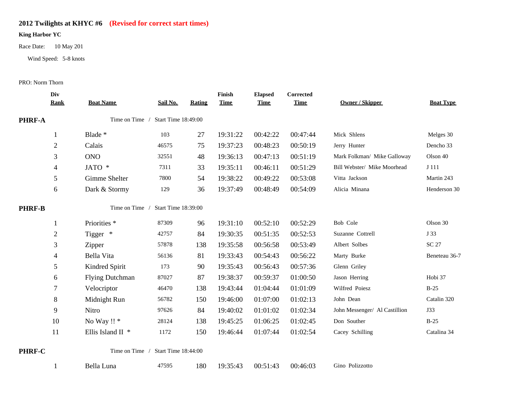### **2012 Twilights at KHYC #6 (Revised for correct start times)**

#### **King Harbor YC**

Race Date: 10 May 201

Wind Speed: 5-8 knots

PRO: Norm Thorn

|               | Div<br><b>Rank</b>                           | <b>Boat Name</b>        | Sail No.                   | <b>Rating</b> | Finish<br><b>Time</b> | <b>Elapsed</b><br><b>Time</b> | Corrected<br><b>Time</b> | Owner / Skipper               | <b>Boat Type</b> |
|---------------|----------------------------------------------|-------------------------|----------------------------|---------------|-----------------------|-------------------------------|--------------------------|-------------------------------|------------------|
| <b>PHRF-A</b> | Time on Time /<br><b>Start Time 18:49:00</b> |                         |                            |               |                       |                               |                          |                               |                  |
|               | 1                                            | Blade *                 | 103                        | 27            | 19:31:22              | 00:42:22                      | 00:47:44                 | Mick Shlens                   | Melges 30        |
|               | $\overline{2}$                               | Calais                  | 46575                      | 75            | 19:37:23              | 00:48:23                      | 00:50:19                 | Jerry Hunter                  | Dencho 33        |
|               | 3                                            | <b>ONO</b>              | 32551                      | 48            | 19:36:13              | 00:47:13                      | 00:51:19                 | Mark Folkman/ Mike Galloway   | Olson 40         |
|               | 4                                            | JATO *                  | 7311                       | 33            | 19:35:11              | 00:46:11                      | 00:51:29                 | Bill Webster/ Mike Moorhead   | J 111            |
|               | 5                                            | Gimme Shelter           | 7800                       | 54            | 19:38:22              | 00:49:22                      | 00:53:08                 | Vitta Jackson                 | Martin 243       |
|               | 6                                            | Dark & Stormy           | 129                        | 36            | 19:37:49              | 00:48:49                      | 00:54:09                 | Alicia Minana                 | Henderson 30     |
| <b>PHRF-B</b> |                                              | Time on Time /          | <b>Start Time 18:39:00</b> |               |                       |                               |                          |                               |                  |
|               | 1                                            | Priorities <sup>*</sup> | 87309                      | 96            | 19:31:10              | 00:52:10                      | 00:52:29                 | Bob Cole                      | Olson 30         |
|               | $\overline{2}$                               | Tigger *                | 42757                      | 84            | 19:30:35              | 00:51:35                      | 00:52:53                 | Suzanne Cottrell              | J 33             |
|               | 3                                            | Zipper                  | 57878                      | 138           | 19:35:58              | 00:56:58                      | 00:53:49                 | Albert Solbes                 | <b>SC 27</b>     |
|               | $\overline{4}$                               | Bella Vita              | 56136                      | 81            | 19:33:43              | 00:54:43                      | 00:56:22                 | Marty Burke                   | Beneteau 36-7    |
|               | 5                                            | Kindred Spirit          | 173                        | 90            | 19:35:43              | 00:56:43                      | 00:57:36                 | Glenn Griley                  |                  |
|               | 6                                            | <b>Flying Dutchman</b>  | 87027                      | 87            | 19:38:37              | 00:59:37                      | 01:00:50                 | Jason Herring                 | Hobi 37          |
|               | 7                                            | Velocriptor             | 46470                      | 138           | 19:43:44              | 01:04:44                      | 01:01:09                 | Wilfred Poiesz                | $B-25$           |
|               | 8                                            | Midnight Run            | 56782                      | 150           | 19:46:00              | 01:07:00                      | 01:02:13                 | John Dean                     | Catalin 320      |
|               | 9                                            | Nitro                   | 97626                      | 84            | 19:40:02              | 01:01:02                      | 01:02:34                 | John Messenger/ Al Castillion | J33              |
|               | 10                                           | No Way !! *             | 28124                      | 138           | 19:45:25              | 01:06:25                      | 01:02:45                 | Don Souther                   | $B-25$           |
|               | 11                                           | Ellis Island II *       | 1172                       | 150           | 19:46:44              | 01:07:44                      | 01:02:54                 | Cacey Schilling               | Catalina 34      |
| PHRF-C        |                                              | Time on Time /          | Start Time 18:44:00        |               |                       |                               |                          |                               |                  |
|               |                                              | Bella Luna              | 47595                      | 180           | 19:35:43              | 00:51:43                      | 00:46:03                 | Gino Polizzotto               |                  |